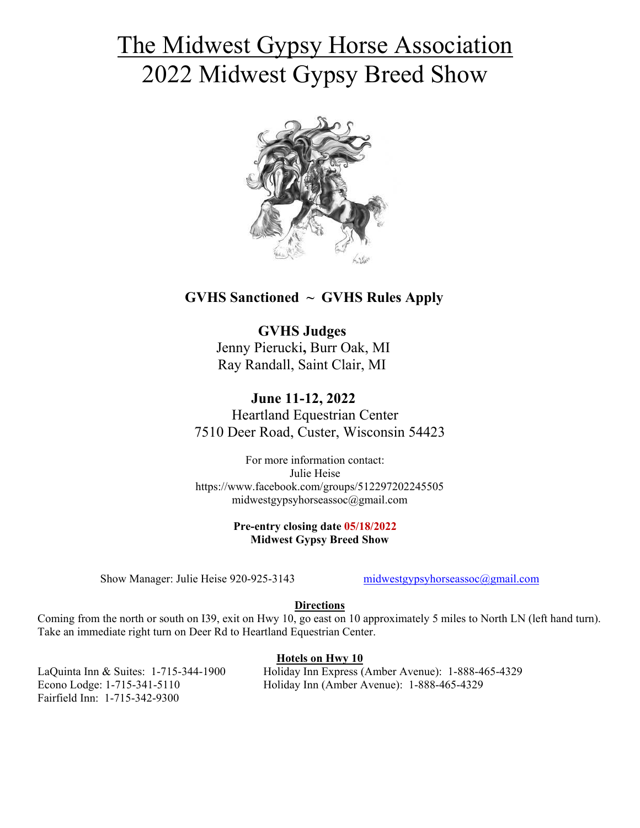# The Midwest Gypsy Horse Association 2022 Midwest Gypsy Breed Show



# **GVHS Sanctioned ~ GVHS Rules Apply**

 **GVHS Judges** Jenny Pierucki**,** Burr Oak, MI Ray Randall, Saint Clair, MI

 **June 11-12, 2022**  Heartland Equestrian Center 7510 Deer Road, Custer, Wisconsin 54423

For more information contact: Julie Heise https://www.facebook.com/groups/512297202245505 midwestgypsyhorseassoc@gmail.com

> **Pre-entry closing date 05/18/2022 Midwest Gypsy Breed Show**

Show Manager: Julie Heise 920-925-3143 midwestgypsyhorseassoc@gmail.com

#### **Directions**

Coming from the north or south on I39, exit on Hwy 10, go east on 10 approximately 5 miles to North LN (left hand turn). Take an immediate right turn on Deer Rd to Heartland Equestrian Center.

## **Hotels on Hwy 10**

Fairfield Inn: 1-715-342-9300

LaQuinta Inn & Suites: 1-715-344-1900 Holiday Inn Express (Amber Avenue): 1-888-465-4329 Econo Lodge: 1-715-341-5110 Holiday Inn (Amber Avenue): 1-888-465-4329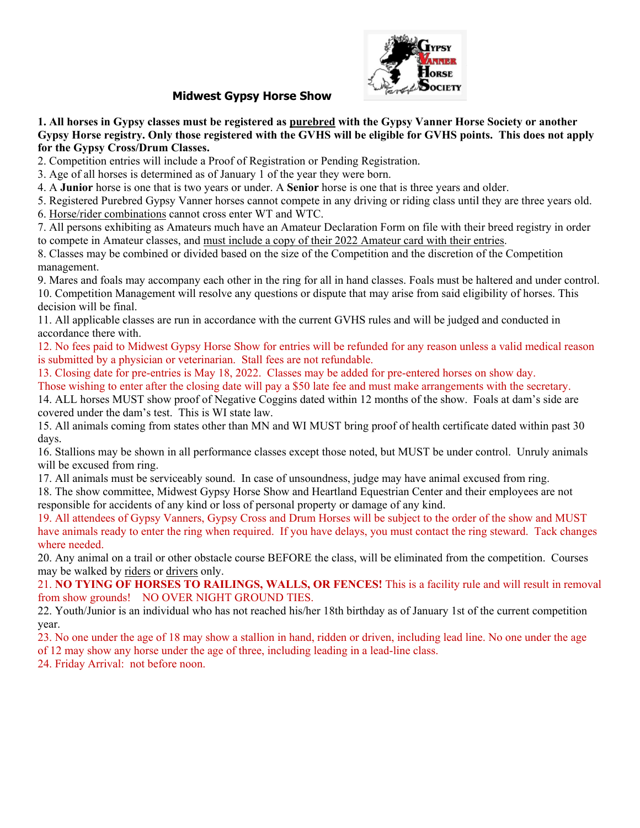

## **Show**

1. All horses in Gypsy classes must be registered as **purebred** with the Gypsy Vanner Horse Society or another Gypsy Horse registry. Only those registered with the GVHS will be eligible for GVHS points. **for the Gypsy Cross/Drum Classes.**

2. Competition entries will in include a Proof of Registration or Pending Registration.

2. Competition entries will include a Proof of Registration or Pending Registr<br>3. Age of all horses is determined as of January 1 of the year they were born.

4. A **Junior** horse is one that is two years or under. A **Senior** horse is one that is three years and older.

5. Registered Purebred Gypsy Vanner horses cannot compete in any driving or riding class until they are three years old. 6. Horse/rider combinations cannot cross enter WT and WTC.

7. All persons exhibiting as Amateurs much have an Amateur Declaration Form on file with their breed registry in order to compete in Amateur classes, and must include a copy of their 2022 Amateur card with their entries.

8. Classes may be combined or divided based on the size of the Competition and the discretion of the Competi Competition management.

9. Mares and foals may accompany each other in the ring for all in hand classes. Foals must be haltered and under control. 10. Competition Management will resolve any questions or dispute that may arise from said eligibility of horses. This decision will be final. may be combined or divided based on the size of the Competient.<br>
Ind foals may accompany each other in the ring for all in hand<br>
tition Management will resolve any questions or dispute that<br>
ill be final.<br>
blicable classes

11. All applicable classes are run in accordance with the current GVHS rules and will be judged and conducted in accordance there with.

12. No fees paid to Midwest Gypsy Horse Show for entries will be refunded for any reason unless a valid medical reason is submitted by a physician or veterinarian. Stall fees are not refundable.

13. Closing date for pre-entries is May 18, 2022. Classes may be added for pre-entered horses on show day.

Those wishing to enter after the closing date will pay a \$50 late fee and must make arrangements with the secretary.

14. ALL horses MUST show proof of Negative Coggins dated within 12 months of the show. Foals at dam's side are covered under the dam's test. This is WI state law. covered under the dam's test. This is

15. All animals coming from states other than MN and WI MUST bring proof of health certificate dated within past 30 days.

16. Stallions may be shown in all performance classes except those noted, but MUST be under control. will be excused from ring. control. Unruly animals

17. All animals must be serviceably sound. In case of unsoundness, judge may have animal excused from ring.

18. The show committee, Midwest Gypsy Horse Show and Heartland Equestrian Center and their employees are are not responsible for accidents of any kind or loss of personal property or damage of any kind. hals coming from states other than MN and WI MUST bring proof of health of<br>s may be shown in all performance classes except those noted, but MUST be<br>sed from ring.<br>hals must be serviceably sound. In case of unsoundness, ju

19. All attendees of Gypsy Vanners, Gypsy Cross and Drum Horses will be subject to the order of the show and MUST have animals ready to enter the ring when required. where needed. **Midwest Gypsy Horse**<br> **Midwest Gypsy Horse**<br> **Progresy Horse Progrity. Only those registered with the transport of the Gypsy Cross/Drum Classes.**<br> **Competition entries will include a Proof of Registratio**<br> **Age of all hor Midwest Gypsy Horse**<br> **Solution Solution Solution**<br> **Solution Consol Dum Classes.**<br> **Consol Drow Consol Dum Classes and The total of the system Conform Hories will include a Proof of Registratio<br>
In horse is one that is t** ees of Gypsy Vanners, Gypsy Cross and<br>ready to enter the ring when required. If<br>al on a trail or other obstacle course BEF<br>d by <u>riders</u> or <u>drivers</u> only. required. If you have delays, you must contact the ring steward. Tack changes **le for GVHS points. This does not apply**<br>ation.<br>t is three years and older.<br>For iding class until they are three years old.<br>For point in the section of the Competition<br>and the discretion of the Competition<br>es. Foals must

20. Any animal on a trail or other obstacle course BEFORE the class, will be eliminated from the competition. competition. Courses may be walked by riders or drivers

21. **NO TYING OF HORSES TO RAILINGS, WALLS, OR FENCES!**  This is a facility rule and will result in removal from show grounds! NO OVER NIGHT GROUND TIES.

22. Youth/Junior is an individual who has not reached his/her 18th birthday as of January 1st of the current competition year. OVER NIGHT GROUND TIES.<br>vidual who has not reached his/her 18th birthday as of January 1st of the current competition<br>f 18 may show a stallion in hand, ridden or driven, including lead line. No one under the age<br>under the

23. No one under the age of 18 may show a stallion in hand, ridden or driven, including lead line. No one under the age

of 12 may show any horse under the age of three, including leading in a lead-line class.

24. Friday Arrival: not before noon.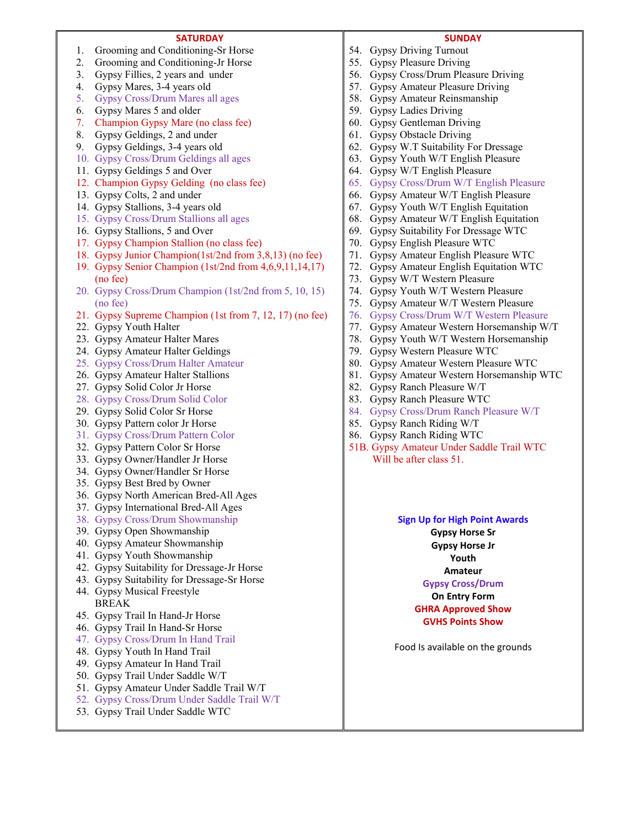#### **SATURDAY**

- 1. Grooming and Conditioning-Sr Horse
- 2. Grooming and Conditioning-Jr Horse
- 3. Gypsy Fillies, 2 years and under
- 4. Gypsy Mares, 3-4 years old
- 5. Gypsy Cross/Drum Mares all ages
- 6. Gypsy Mares 5 and older
- 7. Champion Gypsy Mare (no class fee)
- 8. Gypsy Geldings, 2 and under
- 9. Gypsy Geldings, 3-4 years old
- 10. Gypsy Cross/Drum Geldings all ages
- 11. Gypsy Geldings 5 and Over 12. Champion Gypsy Gelding (no class fee)
- 13. Gypsy Colts, 2 and under
- 14. Gypsy Stallions, 3-4 years old
- 15. Gypsy Cross/Drum Stallions all ages
- 16. Gypsy Stallions, 5 and Over
- 17. Gypsy Champion Stallion (no class fee)
- 18. Gypsy Junior Champion(1st/2nd from 3,8,13) (no fee)
- 19. Gypsy Senior Champion (1st/2nd from 4,6,9,11,14,17) (no fee)
- 20. Gypsy Cross/Drum Champion (1st/2nd from 5, 10, 15) (no fee)
- 21. Gypsy Supreme Champion (1st from 7, 12, 17) (no fee)
- 22. Gypsy Youth Halter
- 23. Gypsy Amateur Halter Mares
- 24. Gypsy Amateur Halter Geldings
- 25. Gypsy Cross/Drum Halter Amateur
- 26. Gypsy Amateur Halter Stallions
- 27. Gypsy Solid Color Jr Horse
- 28. Gypsy Cross/Drum Solid Color
- 29. Gypsy Solid Color Sr Horse
- 30. Gypsy Pattern color Jr Horse
- 31. Gypsy Cross/Drum Pattern Color
- 32. Gypsy Pattern Color Sr Horse
- 33. Gypsy Owner/Handler Jr Horse
- 34. Gypsy Owner/Handler Sr Horse
- 35. Gypsy Best Bred by Owner
- 36. Gypsy North American Bred-All Ages
- 37. Gypsy International Bred-All Ages
- 38. Gypsy Cross/Drum Showmanship
- 39. Gypsy Open Showmanship
- 40. Gypsy Amateur Showmanship
- 41. Gypsy Youth Showmanship
- 42. Gypsy Suitability for Dressage-Jr Horse
- 43. Gypsy Suitability for Dressage-Sr Horse
- 44. Gypsy Musical Freestyle BREAK
- 45. Gypsy Trail In Hand-Jr Horse
- 46. Gypsy Trail In Hand-Sr Horse
- 47. Gypsy Cross/Drum In Hand Trail
- 48. Gypsy Youth In Hand Trail
- 49. Gypsy Amateur In Hand Trail
- 50. Gypsy Trail Under Saddle W/T
- 51. Gypsy Amateur Under Saddle Trail W/T
- 52. Gypsy Cross/Drum Under Saddle Trail W/T
- 53. Gypsy Trail Under Saddle WTC

#### **SUNDAY**

- 54. Gypsy Driving Turnout
- 55. Gypsy Pleasure Driving
- 56. Gypsy Cross/Drum Pleasure Driving
- 57. Gypsy Amateur Pleasure Driving
- 58. Gypsy Amateur Reinsmanship
- 59. Gypsy Ladies Driving
- 60. Gypsy Gentleman Driving
- 61. Gypsy Obstacle Driving
- 62. Gypsy W.T Suitability For Dressage
- 63. Gypsy Youth W/T English Pleasure
- 64. Gypsy W/T English Pleasure
- 65. Gypsy Cross/Drum W/T English Pleasure
- 66. Gypsy Amateur W/T English Pleasure
- 67. Gypsy Youth W/T English Equitation
- 68. Gypsy Amateur W/T English Equitation
- 69. Gypsy Suitability For Dressage WTC
- 70. Gypsy English Pleasure WTC
- 71. Gypsy Amateur English Pleasure WTC
- 72. Gypsy Amateur English Equitation WTC
- 73. Gypsy W/T Western Pleasure
- 74. Gypsy Youth W/T Western Pleasure
- 75. Gypsy Amateur W/T Western Pleasure
- 76. Gypsy Cross/Drum W/T Western Pleasure
- 77. Gypsy Amateur Western Horsemanship W/T
- 78. Gypsy Youth W/T Western Horsemanship
- 79. Gypsy Western Pleasure WTC
- 80. Gypsy Amateur Western Pleasure WTC
- 81. Gypsy Amateur Western Horsemanship WTC
- 82. Gypsy Ranch Pleasure W/T
- 83. Gypsy Ranch Pleasure WTC
- 84. Gypsy Cross/Drum Ranch Pleasure W/T
- 85. Gypsy Ranch Riding W/T
- 86. Gypsy Ranch Riding WTC
- 51B. Gypsy Amateur Under Saddle Trail WTC Will be after class 51.

#### **Sign Up for High Point Awards**

**Gypsy Horse Sr Gypsy Horse Jr Youth Amateur Gypsy Cross/Drum On Entry Form GHRA Approved Show GVHS Points Show** 

Food Is available on the grounds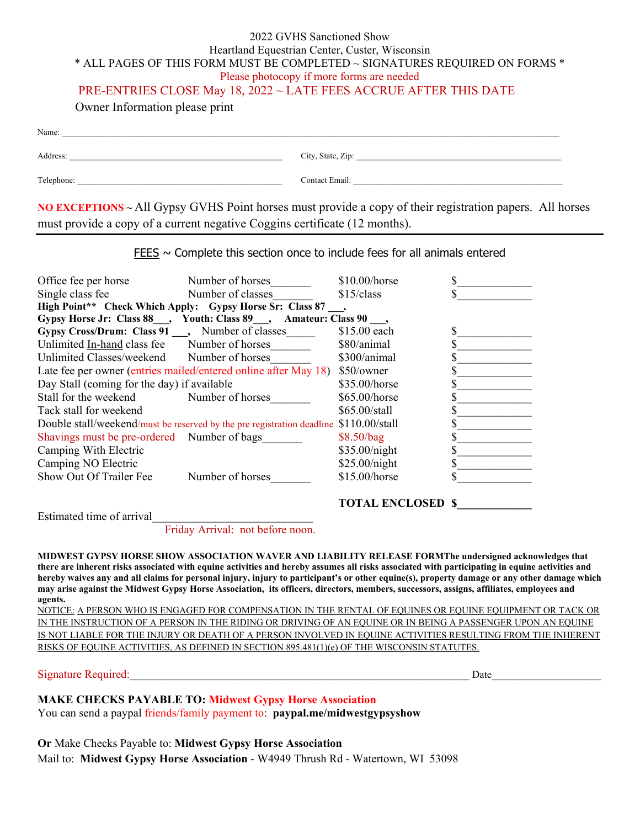#### 2022 GVHS Sanctioned Show Heartland Equestrian Center, Custer, Wisconsin \* ALL PAGES OF THIS FORM MUST BE COMPLETED ~ SIGNATURES REQUIRED ON FORMS \* Please photocopy if more forms are needed

### PRE-ENTRIES CLOSE May 18, 2022 ~ LATE FEES ACCRUE AFTER THIS DATE

Owner Information please print

| Name:      |                   |
|------------|-------------------|
| Address:   | City, State, Zip: |
| Telephone: | Contact Email:    |

**NO EXCEPTIONS ~** All Gypsy GVHS Point horses must provide a copy of their registration papers. All horses must provide a copy of a current negative Coggins certificate (12 months).

 $FEES \sim$  Complete this section once to include fees for all animals entered

| Office fee per horse                                                                  | Number of horses                                                           | $$10.00/h$ orse |  |
|---------------------------------------------------------------------------------------|----------------------------------------------------------------------------|-----------------|--|
| Single class fee                                                                      | Number of classes                                                          | $$15$ /class    |  |
| High Point** Check Which Apply: Gypsy Horse Sr: Class 87,                             |                                                                            |                 |  |
| Gypsy Horse Jr: Class 88 , Youth: Class 89 , Amateur: Class 90 ,                      |                                                                            |                 |  |
| Gypsy Cross/Drum: Class 91, Number of classes                                         |                                                                            | \$15.00 each    |  |
| Unlimited In-hand class fee Number of horses                                          |                                                                            | \$80/animal     |  |
| Unlimited Classes/weekend Number of horses                                            |                                                                            | \$300/animal    |  |
|                                                                                       | Late fee per owner (entries mailed/entered online after May 18) \$50/owner |                 |  |
| Day Stall (coming for the day) if available                                           |                                                                            | \$35.00/horse   |  |
| Stall for the weekend Number of horses                                                |                                                                            | $$65.00/h$ orse |  |
| Tack stall for weekend                                                                |                                                                            | \$65,00/stall   |  |
| Double stall/weekend/must be reserved by the pre registration deadline \$110.00/stall |                                                                            |                 |  |
| Shavings must be pre-ordered Number of bags                                           |                                                                            | \$8.50/bag      |  |
| Camping With Electric                                                                 |                                                                            | \$35.00/night   |  |
| Camping NO Electric                                                                   |                                                                            | \$25.00/night   |  |
| Show Out Of Trailer Fee                                                               | Number of horses                                                           | \$15.00/horse   |  |
|                                                                                       |                                                                            |                 |  |

**TOTAL ENCLOSED \$\_\_\_\_\_\_\_\_\_\_\_\_\_**

Estimated time of arrival

Friday Arrival: not before noon.

**MIDWEST GYPSY HORSE SHOW ASSOCIATION WAVER AND LIABILITY RELEASE FORMThe undersigned acknowledges that there are inherent risks associated with equine activities and hereby assumes all risks associated with participating in equine activities and hereby waives any and all claims for personal injury, injury to participant's or other equine(s), property damage or any other damage which may arise against the Midwest Gypsy Horse Association, its officers, directors, members, successors, assigns, affiliates, employees and agents.** 

NOTICE: A PERSON WHO IS ENGAGED FOR COMPENSATION IN THE RENTAL OF EQUINES OR EQUINE EQUIPMENT OR TACK OR IN THE INSTRUCTION OF A PERSON IN THE RIDING OR DRIVING OF AN EQUINE OR IN BEING A PASSENGER UPON AN EQUINE IS NOT LIABLE FOR THE INJURY OR DEATH OF A PERSON INVOLVED IN EQUINE ACTIVITIES RESULTING FROM THE INHERENT RISKS OF EQUINE ACTIVITIES, AS DEFINED IN SECTION 895.481(1)(e) OF THE WISCONSIN STATUTES.

Signature Required:  $\Box$ 

# **MAKE CHECKS PAYABLE TO: Midwest Gypsy Horse Association**

You can send a paypal friends/family payment to: **paypal.me/midwestgypsyshow** 

**Or** Make Checks Payable to: **Midwest Gypsy Horse Association** Mail to: **Midwest Gypsy Horse Association** - W4949 Thrush Rd - Watertown, WI 53098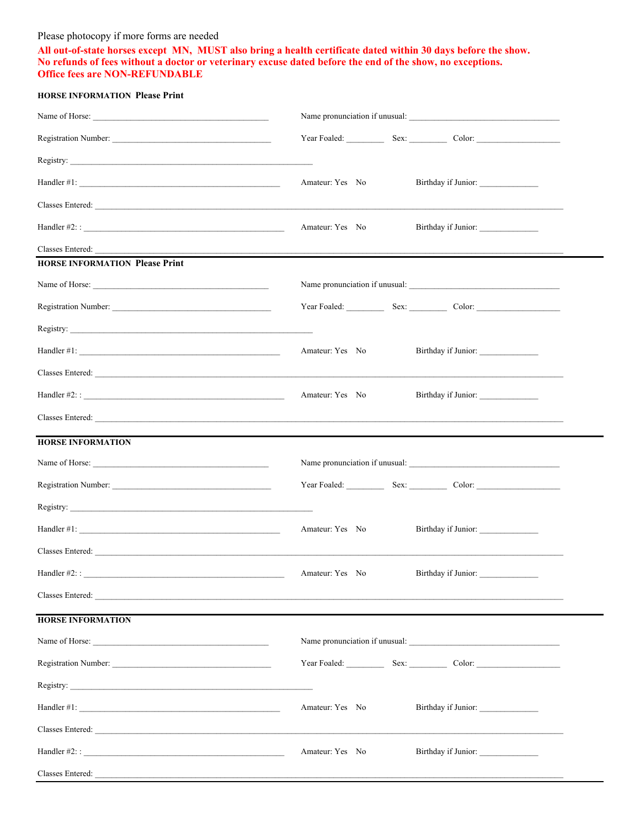#### Please photocopy if more forms are needed

**All out-of-state horses except MN, MUST also bring a health certificate dated within 30 days before the show. No refunds of fees without a doctor or veterinary excuse dated before the end of the show, no exceptions. Office fees are NON-REFUNDABLE** 

#### **HORSE INFORMATION Please Print**

|                                                                                                                                                                                                                                                                                                                   | Name pronunciation if unusual:                         |
|-------------------------------------------------------------------------------------------------------------------------------------------------------------------------------------------------------------------------------------------------------------------------------------------------------------------|--------------------------------------------------------|
| Registration Number:                                                                                                                                                                                                                                                                                              | Year Foaled: Sex: Color: Color:                        |
|                                                                                                                                                                                                                                                                                                                   |                                                        |
| Handler #1: $\frac{1}{2}$ $\frac{1}{2}$ $\frac{1}{2}$ $\frac{1}{2}$ $\frac{1}{2}$ $\frac{1}{2}$ $\frac{1}{2}$ $\frac{1}{2}$ $\frac{1}{2}$ $\frac{1}{2}$ $\frac{1}{2}$ $\frac{1}{2}$ $\frac{1}{2}$ $\frac{1}{2}$ $\frac{1}{2}$ $\frac{1}{2}$ $\frac{1}{2}$ $\frac{1}{2}$ $\frac{1}{2}$ $\frac{1}{2}$ $\frac{1}{2}$ | Amateur: Yes No                                        |
|                                                                                                                                                                                                                                                                                                                   |                                                        |
|                                                                                                                                                                                                                                                                                                                   | Amateur: Yes No                                        |
|                                                                                                                                                                                                                                                                                                                   |                                                        |
| <b>HORSE INFORMATION Please Print</b>                                                                                                                                                                                                                                                                             |                                                        |
|                                                                                                                                                                                                                                                                                                                   | Name pronunciation if unusual:                         |
|                                                                                                                                                                                                                                                                                                                   | Year Foaled: Sex: Color: Color:                        |
| Registry:                                                                                                                                                                                                                                                                                                         |                                                        |
|                                                                                                                                                                                                                                                                                                                   | Amateur: Yes No<br>Birthday if Junior:                 |
|                                                                                                                                                                                                                                                                                                                   |                                                        |
|                                                                                                                                                                                                                                                                                                                   | Amateur: Yes No<br>Birthday if Junior: _______________ |
|                                                                                                                                                                                                                                                                                                                   | Classes Entered: <u>Classes</u> Entered:               |
| <b>HORSE INFORMATION</b>                                                                                                                                                                                                                                                                                          |                                                        |
|                                                                                                                                                                                                                                                                                                                   | Name pronunciation if unusual:                         |
|                                                                                                                                                                                                                                                                                                                   | Year Foaled: Sex: Color: Color:                        |
| Registry:                                                                                                                                                                                                                                                                                                         |                                                        |
|                                                                                                                                                                                                                                                                                                                   | Amateur: Yes No                                        |
|                                                                                                                                                                                                                                                                                                                   |                                                        |
| Handler #2: :                                                                                                                                                                                                                                                                                                     | Amateur: Yes No<br>Birthday if Junior:                 |
| Classes Entered: <u>Classes</u> Entered:                                                                                                                                                                                                                                                                          |                                                        |
| <b>HORSE INFORMATION</b>                                                                                                                                                                                                                                                                                          |                                                        |
|                                                                                                                                                                                                                                                                                                                   | Name pronunciation if unusual:                         |
|                                                                                                                                                                                                                                                                                                                   | Year Foaled: Sex: Color: Color:                        |
|                                                                                                                                                                                                                                                                                                                   |                                                        |
| Handler #1: $\frac{1}{2}$ $\frac{1}{2}$ $\frac{1}{2}$ $\frac{1}{2}$ $\frac{1}{2}$ $\frac{1}{2}$ $\frac{1}{2}$ $\frac{1}{2}$ $\frac{1}{2}$ $\frac{1}{2}$ $\frac{1}{2}$ $\frac{1}{2}$ $\frac{1}{2}$ $\frac{1}{2}$ $\frac{1}{2}$ $\frac{1}{2}$ $\frac{1}{2}$ $\frac{1}{2}$ $\frac{1}{2}$ $\frac{1}{2}$ $\frac{1}{2}$ | Amateur: Yes No<br>Birthday if Junior:                 |
|                                                                                                                                                                                                                                                                                                                   |                                                        |
|                                                                                                                                                                                                                                                                                                                   | Amateur: Yes No<br>Birthday if Junior:                 |
|                                                                                                                                                                                                                                                                                                                   |                                                        |